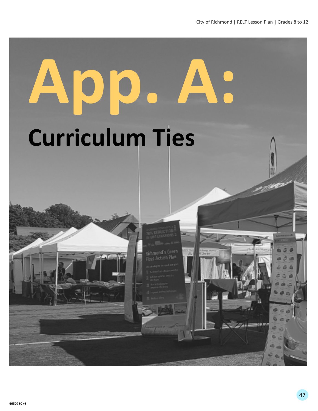## **PD. Curriculum Ties**

Richmond's Green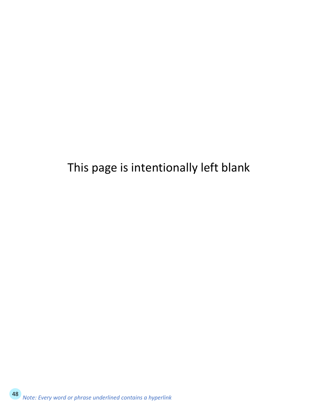## This page is intentionally left blank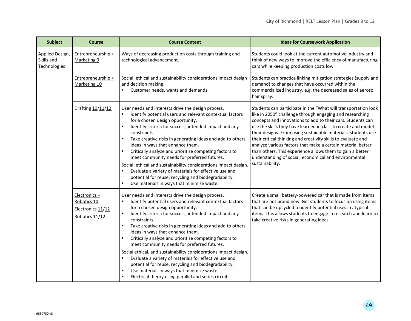| <b>Subject</b>                                | <b>Course</b>                                                       | <b>Course Content</b>                                                                                                                                                                                                                                                                                                                                                                                                                                                                                                                                                                                                                                                                                                                                         | <b>Ideas for Coursework Application</b>                                                                                                                                                                                                                                                                                                                                                                                                                                                                                                                                                              |
|-----------------------------------------------|---------------------------------------------------------------------|---------------------------------------------------------------------------------------------------------------------------------------------------------------------------------------------------------------------------------------------------------------------------------------------------------------------------------------------------------------------------------------------------------------------------------------------------------------------------------------------------------------------------------------------------------------------------------------------------------------------------------------------------------------------------------------------------------------------------------------------------------------|------------------------------------------------------------------------------------------------------------------------------------------------------------------------------------------------------------------------------------------------------------------------------------------------------------------------------------------------------------------------------------------------------------------------------------------------------------------------------------------------------------------------------------------------------------------------------------------------------|
| Applied Design,<br>Skills and<br>Technologies | Entrepreneurship +<br>Marketing 9                                   | Ways of decreasing production costs through training and<br>technological advancement.                                                                                                                                                                                                                                                                                                                                                                                                                                                                                                                                                                                                                                                                        | Students could look at the current automotive industry and<br>think of new ways to improve the efficiency of manufacturing<br>cars while keeping production costs low.                                                                                                                                                                                                                                                                                                                                                                                                                               |
|                                               | Entrepreneurship +<br>Marketing 10                                  | Social, ethical and sustainability considerations impact design<br>and decision making.<br>Customer needs, wants and demands.                                                                                                                                                                                                                                                                                                                                                                                                                                                                                                                                                                                                                                 | Students can practice linking mitigation strategies (supply and<br>demand) to changes that have occurred within the<br>commercialized industry, e.g. the decreased sales of aerosol<br>hair spray.                                                                                                                                                                                                                                                                                                                                                                                                   |
|                                               | Drafting 10/11/12                                                   | User needs and interests drive the design process.<br>Identify potential users and relevant contextual factors<br>$\bullet$<br>for a chosen design opportunity.<br>Identify criteria for success, intended impact and any<br>$\bullet$<br>constraints.<br>Take creative risks in generating ideas and add to others'<br>$\bullet$<br>ideas in ways that enhance them.<br>Critically analyze and prioritize competing factors to<br>$\bullet$<br>meet community needs for preferred futures.<br>Social, ethical and sustainability considerations impact design<br>Evaluate a variety of materials for effective use and<br>potential for reuse, recycling and biodegradability.<br>Use materials in ways that minimize waste.                                 | Students can participate in the "What will transportation look<br>like in 2050" challenge through engaging and researching<br>concepts and innovations to add to their cars. Students can<br>use the skills they have learned in class to create and model<br>their designs. From using sustainable materials, students use<br>their critical thinking and creativity skills to evaluate and<br>analyze various factors that make a certain material better<br>than others. This experience allows them to gain a better<br>understanding of social, economical and environmental<br>sustainability. |
|                                               | Electronics +<br>Robotics 10<br>Electronics 11/12<br>Robotics 11/12 | User needs and interests drive the design process.<br>Identify potential users and relevant contextual factors<br>for a chosen design opportunity.<br>Identify criteria for success, intended impact and any<br>$\bullet$<br>constraints.<br>Take creative risks in generating ideas and add to others'<br>ideas in ways that enhance them.<br>Critically analyze and prioritize competing factors to<br>$\bullet$<br>meet community needs for preferred futures.<br>Social ethical, and sustainability considerations impact design.<br>Evaluate a variety of materials for effective use and<br>potential for reuse, recycling and biodegradability.<br>Use materials in ways that minimize waste.<br>Electrical theory using parallel and series circuits. | Create a small battery-powered car that is made from items<br>that are not brand new. Get students to focus on using items<br>that can be upcycled to identify potential uses in atypical<br>items. This allows students to engage in research and learn to<br>take creative risks in generating ideas.                                                                                                                                                                                                                                                                                              |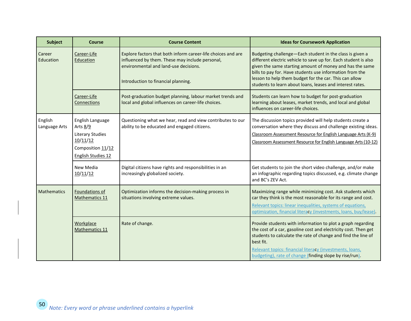| <b>Subject</b>           | <b>Course</b>                                                                                                         | <b>Course Content</b>                                                                                                                                                                           | <b>Ideas for Coursework Application</b>                                                                                                                                                                                                                                                                                                                                    |
|--------------------------|-----------------------------------------------------------------------------------------------------------------------|-------------------------------------------------------------------------------------------------------------------------------------------------------------------------------------------------|----------------------------------------------------------------------------------------------------------------------------------------------------------------------------------------------------------------------------------------------------------------------------------------------------------------------------------------------------------------------------|
| Career<br>Education      | Career-Life<br>Education                                                                                              | Explore factors that both inform career-life choices and are<br>influenced by them. These may include personal,<br>environmental and land-use decisions.<br>Introduction to financial planning. | Budgeting challenge-Each student in the class is given a<br>different electric vehicle to save up for. Each student is also<br>given the same starting amount of money and has the same<br>bills to pay for. Have students use information from the<br>lesson to help them budget for the car. This can allow<br>students to learn about loans, leases and interest rates. |
|                          | Career-Life<br>Connections                                                                                            | Post-graduation budget planning, labour market trends and<br>local and global influences on career-life choices.                                                                                | Students can learn how to budget for post-graduation<br>learning about leases, market trends, and local and global<br>influences on career-life choices.                                                                                                                                                                                                                   |
| English<br>Language Arts | English Language<br>Arts 8/9<br><b>Literary Studies</b><br>10/11/12<br>Composition 11/12<br><b>English Studies 12</b> | Questioning what we hear, read and view contributes to our<br>ability to be educated and engaged citizens.                                                                                      | The discussion topics provided will help students create a<br>conversation where they discuss and challenge existing ideas.<br>Classroom Assessment Resource for English Language Arts (K-9)<br>Classroom Assessment Resource for English Language Arts (10-12)                                                                                                            |
|                          | New Media<br>10/11/12                                                                                                 | Digital citizens have rights and responsibilities in an<br>increasingly globalized society.                                                                                                     | Get students to join the short video challenge, and/or make<br>an infographic regarding topics discussed, e.g. climate change<br>and BC's ZEV Act.                                                                                                                                                                                                                         |
| Mathematics              | Foundations of<br>Mathematics 11                                                                                      | Optimization informs the decision-making process in<br>situations involving extreme values.                                                                                                     | Maximizing range while minimizing cost. Ask students which<br>car they think is the most reasonable for its range and cost.<br>Relevant topics: linear inequalities, systems of equations,<br>optimization, financial literacy (investments, loans, buy/lease).                                                                                                            |
|                          | Workplace<br>Mathematics 11                                                                                           | Rate of change.                                                                                                                                                                                 | Provide students with information to plot a graph regarding<br>the cost of a car, gasoline cost and electricity cost. Then get<br>students to calculate the rate of change and find the line of<br>best fit.<br>Relevant topics: financial literacy (investments, loans,<br>budgeting), rate of change (finding slope by rise/run).                                        |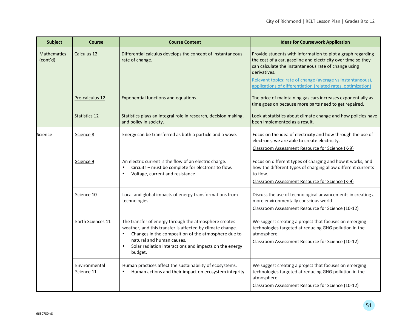| <b>Subject</b>                 | <b>Course</b>               | <b>Course Content</b>                                                                                                                                                                                                                                                       | <b>Ideas for Coursework Application</b>                                                                                                                                                                                                                                                                                              |
|--------------------------------|-----------------------------|-----------------------------------------------------------------------------------------------------------------------------------------------------------------------------------------------------------------------------------------------------------------------------|--------------------------------------------------------------------------------------------------------------------------------------------------------------------------------------------------------------------------------------------------------------------------------------------------------------------------------------|
| <b>Mathematics</b><br>(cont'd) | Calculus 12                 | Differential calculus develops the concept of instantaneous<br>rate of change.                                                                                                                                                                                              | Provide students with information to plot a graph regarding<br>the cost of a car, gasoline and electricity over time so they<br>can calculate the instantaneous rate of change using<br>derivatives.<br>Relevant topics: rate of change (average vs instantaneous),<br>applications of differentiation (related rates, optimization) |
|                                | Pre-calculus 12             | Exponential functions and equations.                                                                                                                                                                                                                                        | The price of maintaining gas cars increases exponentially as<br>time goes on because more parts need to get repaired.                                                                                                                                                                                                                |
|                                | <b>Statistics 12</b>        | Statistics plays an integral role in research, decision making,<br>and policy in society.                                                                                                                                                                                   | Look at statistics about climate change and how policies have<br>been implemented as a result.                                                                                                                                                                                                                                       |
| Science                        | Science 8                   | Energy can be transferred as both a particle and a wave.                                                                                                                                                                                                                    | Focus on the idea of electricity and how through the use of<br>electrons, we are able to create electricity.<br>Classroom Assessment Resource for Science (K-9)                                                                                                                                                                      |
|                                | Science 9                   | An electric current is the flow of an electric charge.<br>Circuits - must be complete for electrons to flow.<br>Voltage, current and resistance.                                                                                                                            | Focus on different types of charging and how it works, and<br>how the different types of charging allow different currents<br>to flow.<br>Classroom Assessment Resource for Science (K-9)                                                                                                                                            |
|                                | Science 10                  | Local and global impacts of energy transformations from<br>technologies.                                                                                                                                                                                                    | Discuss the use of technological advancements in creating a<br>more environmentally conscious world.<br>Classroom Assessment Resource for Science (10-12)                                                                                                                                                                            |
|                                | Earth Sciences 11           | The transfer of energy through the atmosphere creates<br>weather, and this transfer is affected by climate change.<br>Changes in the composition of the atmosphere due to<br>natural and human causes.<br>Solar radiation interactions and impacts on the energy<br>budget. | We suggest creating a project that focuses on emerging<br>technologies targeted at reducing GHG pollution in the<br>atmosphere.<br>Classroom Assessment Resource for Science (10-12)                                                                                                                                                 |
|                                | Environmental<br>Science 11 | Human practices affect the sustainability of ecosystems.<br>Human actions and their impact on ecosystem integrity.                                                                                                                                                          | We suggest creating a project that focuses on emerging<br>technologies targeted at reducing GHG pollution in the<br>atmosphere.<br>Classroom Assessment Resource for Science (10-12)                                                                                                                                                 |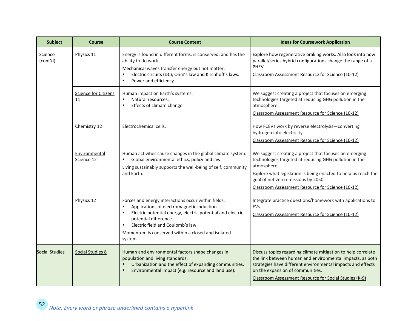| <b>Subject</b>        | <b>Course</b>                     | <b>Course Content</b>                                                                                                                                                                                                                                                                          | <b>Ideas for Coursework Application</b>                                                                                                                                                                                                                                                       |
|-----------------------|-----------------------------------|------------------------------------------------------------------------------------------------------------------------------------------------------------------------------------------------------------------------------------------------------------------------------------------------|-----------------------------------------------------------------------------------------------------------------------------------------------------------------------------------------------------------------------------------------------------------------------------------------------|
| Science<br>(cont'd)   | Physics 11                        | Energy is found in different forms, is conserved, and has the<br>ability to do work.<br>Mechanical waves transfer energy but not matter.<br>Electric circuits (DC), Ohm's law and Kirchhoff's laws.<br>Power and efficiency.<br>$\bullet$                                                      | Explore how regenerative braking works. Also look into how<br>parallel/series hybrid configurations change the range of a<br>PHEV.<br>Classroom Assessment Resource for Science (10-12)                                                                                                       |
|                       | <b>Science for Citizens</b><br>11 | Human impact on Earth's systems:<br>Natural resources.<br>Effects of climate change.<br>$\bullet$                                                                                                                                                                                              | We suggest creating a project that focuses on emerging<br>technologies targeted at reducing GHG pollution in the<br>atmosphere.<br>Classroom Assessment Resource for Science (10-12)                                                                                                          |
|                       | Chemistry 12                      | Electrochemical cells.                                                                                                                                                                                                                                                                         | How FCEVs work by reverse electrolysis-converting<br>hydrogen into electricity.<br>Classroom Assessment Resource for Science (10-12)                                                                                                                                                          |
|                       | Environmental<br>Science 12       | Human activities cause changes in the global climate system.<br>Global environmental ethics, policy and law.<br>Living sustainably supports the well-being of self, community<br>and Earth.                                                                                                    | We suggest creating a project that focuses on emerging<br>technologies targeted at reducing GHG pollution in the<br>atmosphere.<br>Explore what legislation is being enacted to help us reach the<br>goal of net-zero emissions by 2050.<br>Classroom Assessment Resource for Science (10-12) |
|                       | Physics 12                        | Forces and energy interactions occur within fields.<br>Applications of electromagnetic induction.<br>Electric potential energy, electric potential and electric<br>potential difference.<br>Electric field and Coulomb's law.<br>Momentum is conserved within a closed and isolated<br>system. | Integrate practice questions/homework with applications to<br>EVs.<br>Classroom Assessment Resource for Science (10-12)                                                                                                                                                                       |
| <b>Social Studies</b> | Social Studies 8                  | Human and environmental factors shape changes in<br>population and living standards.<br>Urbanization and the effect of expanding communities.<br>$\bullet$<br>Environmental impact (e.g. resource and land use).                                                                               | Discuss topics regarding climate mitigation to help correlate<br>the link between human and environmental impacts, as both<br>strategies have different environmental impacts and effects<br>on the expansion of communities.<br>Classroom Assessment Resource for Social Studies (K-9)       |